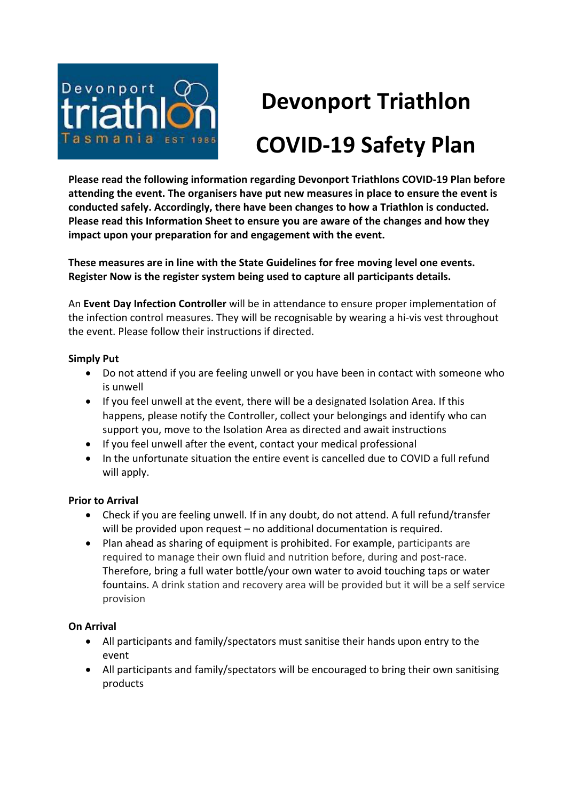

# **Devonport Triathlon COVID-19 Safety Plan**

**Please read the following information regarding Devonport Triathlons COVID-19 Plan before attending the event. The organisers have put new measures in place to ensure the event is conducted safely. Accordingly, there have been changes to how a Triathlon is conducted. Please read this Information Sheet to ensure you are aware of the changes and how they impact upon your preparation for and engagement with the event.**

**These measures are in line with the State Guidelines for free moving level one events. Register Now is the register system being used to capture all participants details.** 

An **Event Day Infection Controller** will be in attendance to ensure proper implementation of the infection control measures. They will be recognisable by wearing a hi-vis vest throughout the event. Please follow their instructions if directed.

## **Simply Put**

- Do not attend if you are feeling unwell or you have been in contact with someone who is unwell
- If you feel unwell at the event, there will be a designated Isolation Area. If this happens, please notify the Controller, collect your belongings and identify who can support you, move to the Isolation Area as directed and await instructions
- If you feel unwell after the event, contact your medical professional
- In the unfortunate situation the entire event is cancelled due to COVID a full refund will apply.

## **Prior to Arrival**

- Check if you are feeling unwell. If in any doubt, do not attend. A full refund/transfer will be provided upon request – no additional documentation is required.
- Plan ahead as sharing of equipment is prohibited. For example, participants are required to manage their own fluid and nutrition before, during and post-race. Therefore, bring a full water bottle/your own water to avoid touching taps or water fountains. A drink station and recovery area will be provided but it will be a self service provision

# **On Arrival**

- All participants and family/spectators must sanitise their hands upon entry to the event
- All participants and family/spectators will be encouraged to bring their own sanitising products